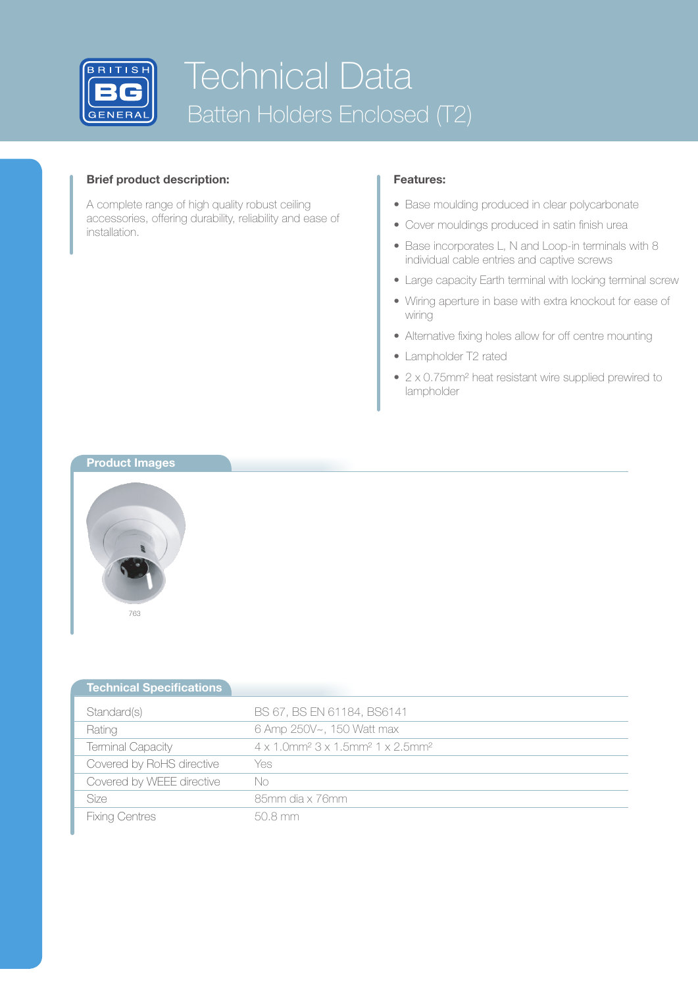

## **Brief product description:**

A complete range of high quality robust ceiling accessories, offering durability, reliability and ease of installation.

## **Features:**

- Base moulding produced in clear polycarbonate
- Cover mouldings produced in satin finish urea
- Base incorporates L, N and Loop-in terminals with 8 individual cable entries and captive screws
- Large capacity Earth terminal with locking terminal screw
- • Wiring aperture in base with extra knockout for ease of wiring
- Alternative fixing holes allow for off centre mounting
- Lampholder T2 rated
- 2 x 0.75mm<sup>2</sup> heat resistant wire supplied prewired to lampholder

## **Product Images**



| <b>Technical Specifications</b> |                                                                                              |
|---------------------------------|----------------------------------------------------------------------------------------------|
| Standard(s)                     | BS 67, BS EN 61184, BS6141                                                                   |
| Rating                          | 6 Amp 250V~, 150 Watt max                                                                    |
| Terminal Capacity               | $4 \times 1.0$ mm <sup>2</sup> $3 \times 1.5$ mm <sup>2</sup> $1 \times 2.5$ mm <sup>2</sup> |
| Covered by RoHS directive       | Yes                                                                                          |
| Covered by WEEE directive       | No                                                                                           |
| Size                            | 85mm dia x 76mm                                                                              |
| <b>Fixing Centres</b>           | 50.8 mm                                                                                      |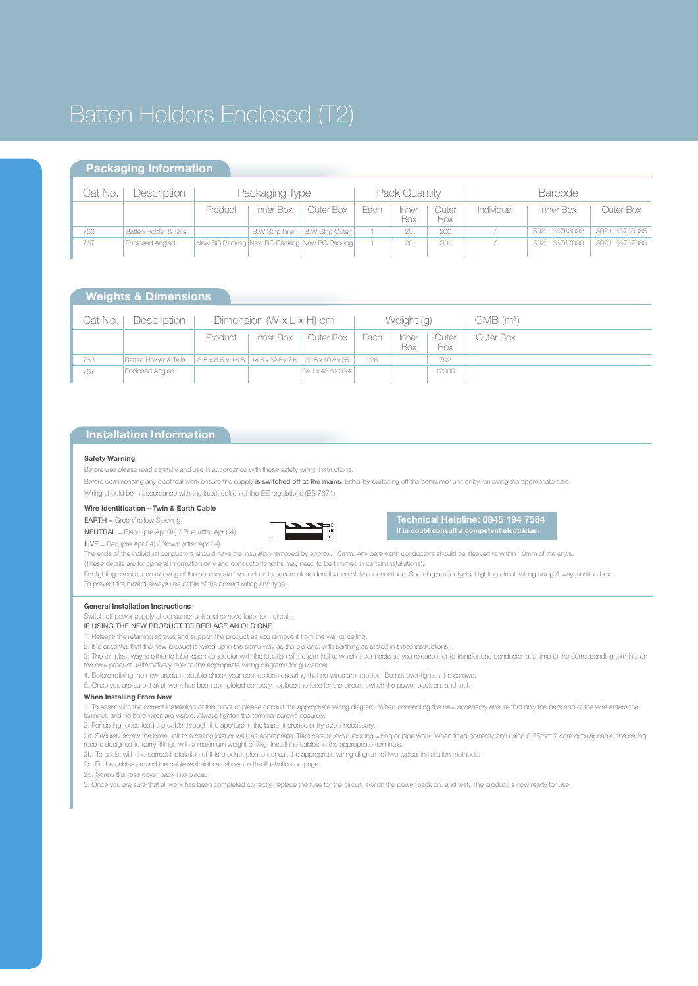## Batten Holders Enclosed (T2)

## **Packaging Information**

| Cat No. | Description            | Packaging Type                               |                        |                        | Pack Quantity |              |              | <b>Barcode</b> |               |               |
|---------|------------------------|----------------------------------------------|------------------------|------------------------|---------------|--------------|--------------|----------------|---------------|---------------|
|         |                        | Product                                      | Inner Box              | Outer Box              | Each          | Inner<br>Box | Juter<br>Box | Individual     | Inner Box     | Outer Box     |
| 763     | Batten Holder & Tails  |                                              | <b>B.W Strip Inner</b> | <b>B.W Strip Outer</b> |               | 20           | 200          |                | 5021166763092 | 5021166763085 |
| 767     | <b>Enclosed Angled</b> | New BG Packing New BG Packing New BG Packing |                        |                        |               | 20           | 200          |                | 5021166767090 | 5021166767083 |

## **Weights & Dimensions**

| Cat No. I | Description           | Dimension $(W \times L \times H)$ cm                                 |  |                                | Weight (g) |                     |              | $CMB$ (m <sup>3</sup> ) |
|-----------|-----------------------|----------------------------------------------------------------------|--|--------------------------------|------------|---------------------|--------------|-------------------------|
|           |                       | Product                                                              |  | Inner Box   Outer Box          | Each       | Inner<br><b>Box</b> | Outer<br>Box | Outer Box               |
| 763       | Batten Holder & Tails | $18.5 \times 8.5 \times 16.5$   14.8 x 32.6 x 7.6   30.5 x 40.8 x 35 |  |                                | 126        |                     | 792          |                         |
| 767       | Enclosed Angled       |                                                                      |  | $34.1 \times 48.8 \times 33.4$ |            |                     | 12300        |                         |

## **Installation Information**

#### **Safety Warning**

Before use please read carefully and use in accordance with these safety wiring instructions.

Before commencing any electrical work ensure the supply is switched off at the mains. Either by switching off the consumer unit or by removing the appropriate fuse.

Wiring should be in accordance with the latest edition of the IEE regulations (BS 7671).

#### **Wire Identification – Twin & Earth Cable**

EARTH = Green/Yellow Sleeving



**Technical Helpline: 0845 194 7584 If in doubt consult a competent electrician.**

NEUTRAL = Black (pre Apr 04) / Blue (after Apr 04) LIVE = Red (pre Apr 04) / Brown (after Apr 04)

The ends of the individual conductors should have the insulation removed by approx. 10mm. Any bare earth conductors should be sleeved to within 10mm of the ends. (These details are for general information only and conductor lengths may need to be trimmed in certain installations).

For lighting circuits, use sleeving of the appropriate 'live' colour to ensure clear identification of live connections. See diagram for typical lighting circuit wiring using 4-way junction box. To prevent fire hazard always use cable of the correct rating and type.

#### **General Installation Instructions**

Switch off power supply at consumer unit and remove fuse from circuit.

- IF USING THE NEW PRODUCT TO REPLACE AN OLD ONE
- 1. Release the retaining screws and support the product as you remove it from the wall or ceiling.
- 2. It is essential that the new product is wired up in the same way as the old one, with Earthing as stated in these instructions.

3. The simplest way is either to label each conductor with the location of the terminal to which it connects as you release it or to transfer one conductor at a time to the corresponding terminal on the new product. (Alternatively refer to the appropriate wiring diagrams for guidance)

4. Before refixing the new product, double check your connections ensuring that no wires are trapped. Do not over tighten the screws.

5. Once you are sure that all work has been completed correctly, replace the fuse for the circuit, switch the power back on, and test.

#### **When Installing From New**

1. To assist with the correct installation of this product please consult the appropriate wiring diagram. When connecting the new accessory ensure that only the bare end of the wire enters the terminal, and no bare wires are visible. Always tighten the terminal screws securely.

2. For ceiling roses feed the cable through the aperture in the base, increase entry size if necessary.

2a. Securely screw the base unit to a ceiling joist or wall, as appropriate. Take care to avoid existing wiring or pipe work. When fitted correctly and using 0.75mm 2 core circular cable, the ceiling rose is designed to carry fittings with a maximum weight of 3kg. Install the cables to the appropriate terminals.

2b. To assist with the correct installation of this product please consult the appropriate wiring diagram of two typical installation methods.

2c. Fit the cables around the cable restraints as shown in the illustration on page.

2d. Screw the rose cover back into place.

3. Once you are sure that all work has been completed correctly, replace the fuse for the circuit, switch the power back on, and test. The product is now ready for use.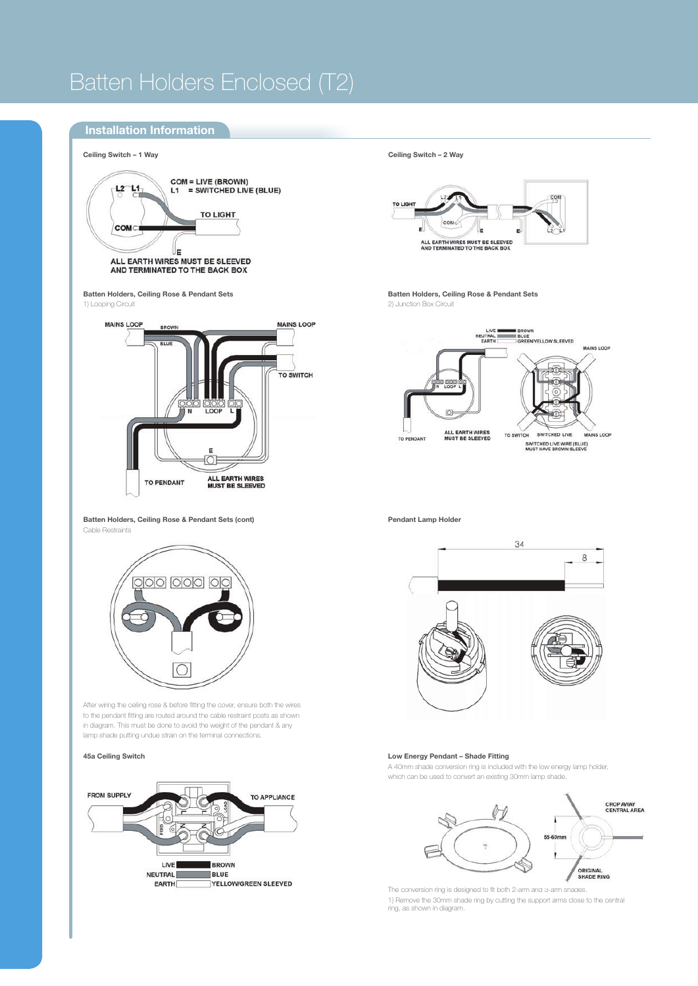## Batten Holders Enclosed (T2)

## **Installation Information**





**Batten Holders, Ceiling Rose & Pendant Sets** 2) Junction Box Circuit



**Batten Holders, Ceiling Rose & Pendant Sets (cont)** Cable Restraints



After wiring the ceiling rose & before fitting the cover, ensure both the wires to the pendant fitting are routed around the cable restraint posts as shown in diagram. This must be done to avoid the weight of the pendant & any lamp shade putting undue strain on the terminal connections.

**45a Ceiling Switch**



**Pendant Lamp Holder**



#### **Low Energy Pendant – Shade Fitting**

A 40mm shade conversion ring is included with the low energy lamp holder, which can be used to convert an existing 30mm lamp shade.



The conversion ring is designed to fit both 2-arm and 3-arm shades. 1) Remove the 30mm shade ring by cutting the support arms close to the central ring, as shown in diagram.